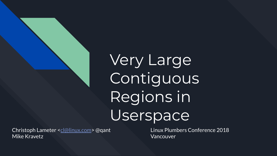# Very Large **Contiguous** Regions in Userspace

Christoph Lameter [<cl@linux.com](mailto:cl@linux.com)> @qant Linux Plumbers Conference 2018 Mike Kravetz Vancouver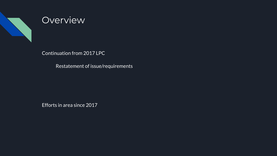

### **Overview**

Continuation from 2017 LPC

Restatement of issue/requirements

Efforts in area since 2017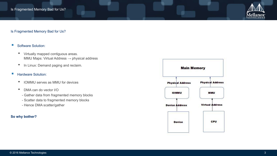

#### Is Fragmented Memory Bad for Us?

#### ■ Software Solution:

- Virtually mapped contiguous areas. MMU Maps: Virtual Address  $\rightarrow$  physical address
- In Linux: Demand paging and reclaim.

#### ■ Hardware Solution:

- IOMMU serves as MMU for devices
- DMA can do vector I/O
	- Gather data from fragmented memory blocks
	- Scatter data to fragmented memory blocks
	- Hence DMA scatter/gather

#### **So why bother?**

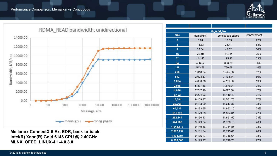#### Performance Comparison: Memalign vs Contiguous





#### **Mellanox ConnectX-5 Ex, EDR, back-to-back Intel(R) Xeon(R) Gold 6148 CPU @ 2.40GHz MLNX\_OFED\_LINUX-4.1-4.0.8.0**

| ib_read_bw              |            |                  |             |
|-------------------------|------------|------------------|-------------|
| size                    | memalign() | contiguous pages | improvement |
| $\overline{2}$          | 8.74       | 10.65            | 22%         |
| $\overline{\mathbf{4}}$ | 14.83      | 23.47            | 58%         |
| 8                       | 35.64      | 48.52            | 36%         |
| 16                      | 76.10      | 96.02            | 26%         |
| 32                      | 141.45     | 195.92           | 39%         |
| 64                      | 406.52     | 383.80           | $-6%$       |
| 128                     | 543.58     | 780.68           | 44%         |
| 256                     | 1,018.24   | 1,545.88         | 52%         |
| 512                     | 2,003.87   | 3,133.44         | 56%         |
| 1,024                   | 4,000.76   | 4,761.60         | 19%         |
| 2,048                   | 5,837.46   | 7.216.94         | 24%         |
| 4,096                   | 7,747.90   | 9,077.66         | 17%         |
| 8,192                   | 9,224.03   | 11,140.40        | 21%         |
| 16,384                  | 9,109.37   | 11,561.70        | 27%         |
| 32,768                  | 9,133.99   | 11,647.37        | 28%         |
| 65,536                  | 9,133.65   | 11,662.10        | 28%         |
| 131,072                 | 9,179.69   | 11,694.01        | 27%         |
| 262,144                 | 9,150.13   | 11,691.50        | 28%         |
| 524,288                 | 9,149.54   | 11.706.13        | 28%         |
| 1,048,576               | 9,149.36   | 11,714.85        | 28%         |
| 2,097,152               | 9,161.54   | 11,715.61        | 28%         |
| 4,194,304               | 9,176.27   | 11,716.65        | 28%         |
| 8,388,608               | 9,199.97   | 11,716.78        | 27%         |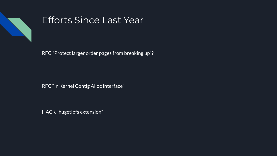

### Efforts Since Last Year

RFC "Protect larger order pages from breaking up"?

RFC "In Kernel Contig Alloc Interface"

HACK "hugetlbfs extension"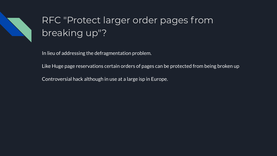

## RFC "Protect larger order pages from breaking up"?

In lieu of addressing the defragmentation problem.

Like Huge page reservations certain orders of pages can be protected from being broken up

Controversial hack although in use at a large isp in Europe.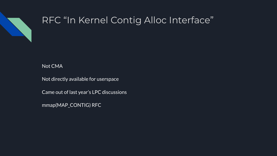

### RFC "In Kernel Contig Alloc Interface"

### Not CMA

Not directly available for userspace

Came out of last year's LPC discussions

mmap(MAP\_CONTIG) RFC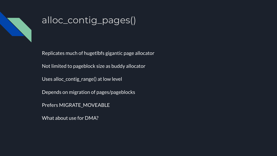

### alloc\_contig\_pages()

Replicates much of hugetlbfs gigantic page allocator

Not limited to pageblock size as buddy allocator

Uses alloc\_contig\_range() at low level

Depends on migration of pages/pageblocks

Prefers MIGRATE\_MOVEABLE

What about use for DMA?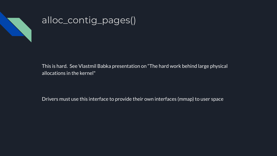

### alloc\_contig\_pages()

This is hard. See Vlastmil Babka presentation on "The hard work behind large physical allocations in the kernel"

Drivers must use this interface to provide their own interfaces (mmap) to user space